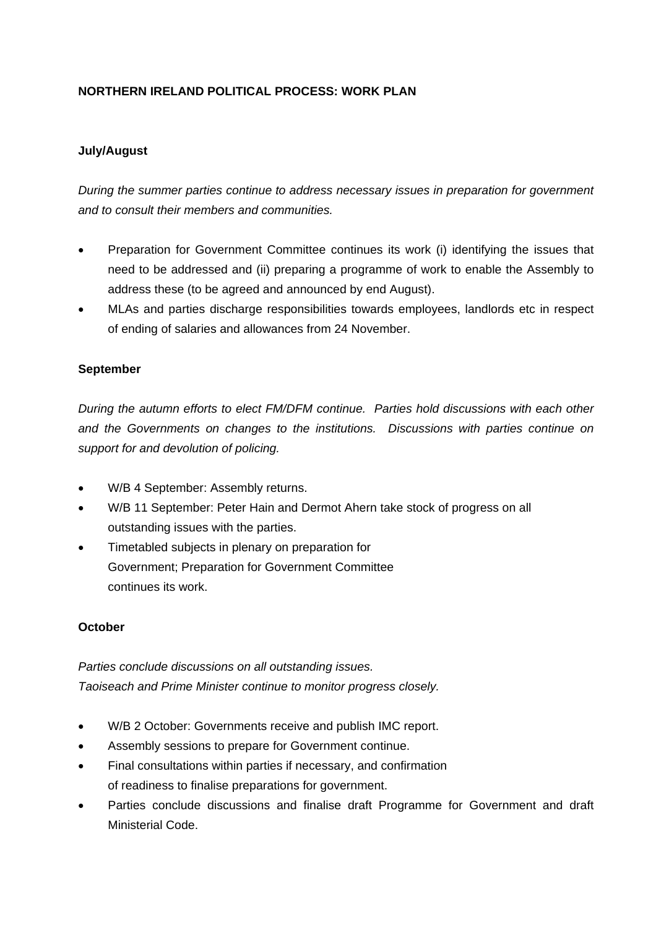# **NORTHERN IRELAND POLITICAL PROCESS: WORK PLAN**

## **July/August**

*During the summer parties continue to address necessary issues in preparation for government and to consult their members and communities.* 

- Preparation for Government Committee continues its work (i) identifying the issues that need to be addressed and (ii) preparing a programme of work to enable the Assembly to address these (to be agreed and announced by end August).
- MLAs and parties discharge responsibilities towards employees, landlords etc in respect of ending of salaries and allowances from 24 November.

### **September**

*During the autumn efforts to elect FM/DFM continue. Parties hold discussions with each other and the Governments on changes to the institutions. Discussions with parties continue on support for and devolution of policing.* 

- W/B 4 September: Assembly returns.
- W/B 11 September: Peter Hain and Dermot Ahern take stock of progress on all outstanding issues with the parties.
- Timetabled subjects in plenary on preparation for Government; Preparation for Government Committee continues its work.

### **October**

*Parties conclude discussions on all outstanding issues. Taoiseach and Prime Minister continue to monitor progress closely.* 

- W/B 2 October: Governments receive and publish IMC report.
- Assembly sessions to prepare for Government continue.
- Final consultations within parties if necessary, and confirmation of readiness to finalise preparations for government.
- Parties conclude discussions and finalise draft Programme for Government and draft Ministerial Code.